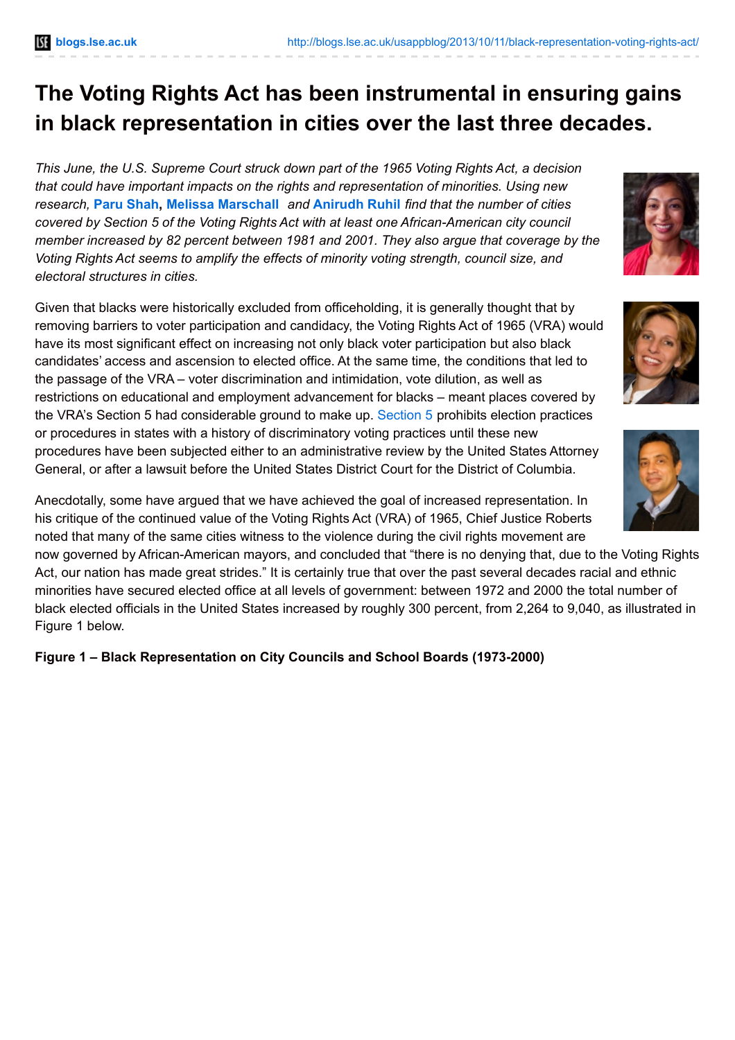# **The Voting Rights Act has been instrumental in ensuring gains in black representation in cities over the last three decades.**

*This June, the U.S. Supreme Court struck down part of the 1965 Voting Rights Act, a decision that could have important impacts on the rights and representation of minorities. Using new research,* **Paru [Shah](http://wp.me/p3I2YF-pW#Author), Melissa [Marschall](http://wp.me/p3I2YF-pW#Author)** *and* **[Anirudh](http://wp.me/p3I2YF-pW#Author) Ruhil** *find that the number of cities covered by Section 5 of the Voting Rights Act with at least one African-American city council member increased by 82 percent between 1981 and 2001. They also argue that coverage by the Voting Rights Act seems to amplify the effects of minority voting strength, council size, and electoral structures in cities.*

Given that blacks were historically excluded from officeholding, it is generally thought that by removing barriers to voter participation and candidacy, the Voting Rights Act of 1965 (VRA) would have its most significant effect on increasing not only black voter participation but also black candidates' access and ascension to elected office. At the same time, the conditions that led to the passage of the VRA – voter discrimination and intimidation, vote dilution, as well as restrictions on educational and employment advancement for blacks – meant places covered by the VRA's Section 5 had considerable ground to make up. [Section](http://www.justice.gov/crt/about/vot/sec_5/about.php) 5 prohibits election practices or procedures in states with a history of discriminatory voting practices until these new procedures have been subjected either to an administrative review by the United States Attorney General, or after a lawsuit before the United States District Court for the District of Columbia.

Anecdotally, some have argued that we have achieved the goal of increased representation. In his critique of the continued value of the Voting Rights Act (VRA) of 1965, Chief Justice Roberts noted that many of the same cities witness to the violence during the civil rights movement are

now governed by African-American mayors, and concluded that "there is no denying that, due to the Voting Rights Act, our nation has made great strides." It is certainly true that over the past several decades racial and ethnic minorities have secured elected office at all levels of government: between 1972 and 2000 the total number of black elected officials in the United States increased by roughly 300 percent, from 2,264 to 9,040, as illustrated in Figure 1 below.

**Figure 1 – Black Representation on City Councils and School Boards (1973-2000)**





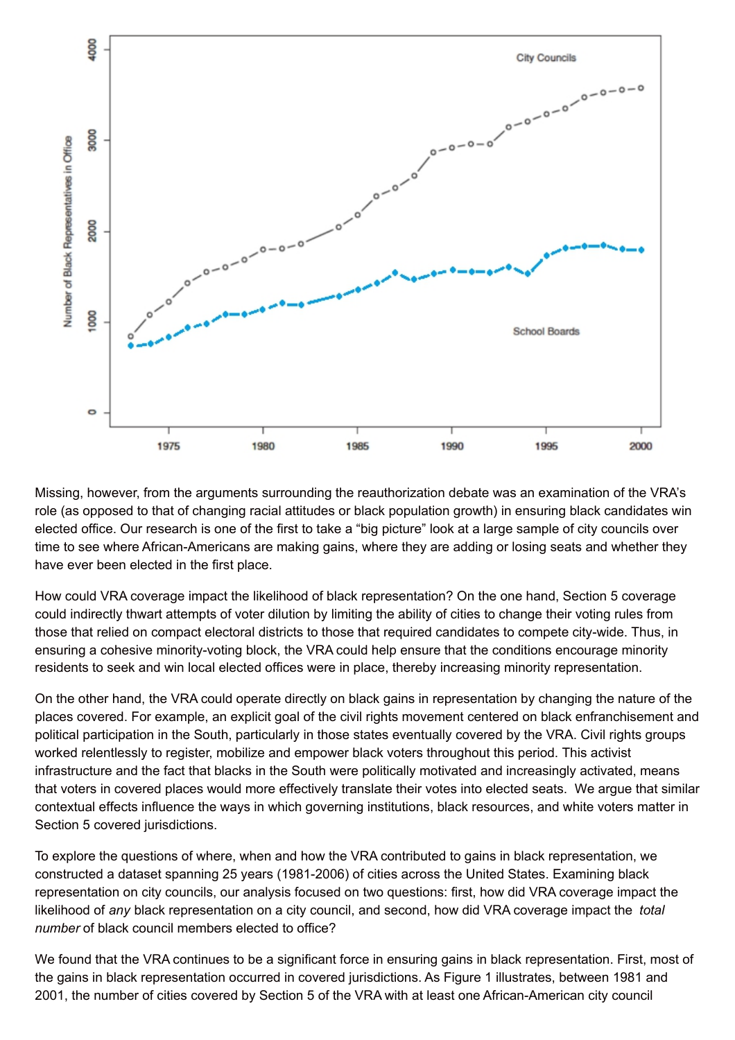

Missing, however, from the arguments surrounding the reauthorization debate was an examination of the VRA's role (as opposed to that of changing racial attitudes or black population growth) in ensuring black candidates win elected office. Our research is one of the first to take a "big picture" look at a large sample of city councils over time to see where African-Americans are making gains, where they are adding or losing seats and whether they have ever been elected in the first place.

How could VRA coverage impact the likelihood of black representation? On the one hand, Section 5 coverage could indirectly thwart attempts of voter dilution by limiting the ability of cities to change their voting rules from those that relied on compact electoral districts to those that required candidates to compete city-wide. Thus, in ensuring a cohesive minority-voting block, the VRA could help ensure that the conditions encourage minority residents to seek and win local elected offices were in place, thereby increasing minority representation.

On the other hand, the VRA could operate directly on black gains in representation by changing the nature of the places covered. For example, an explicit goal of the civil rights movement centered on black enfranchisement and political participation in the South, particularly in those states eventually covered by the VRA. Civil rights groups worked relentlessly to register, mobilize and empower black voters throughout this period. This activist infrastructure and the fact that blacks in the South were politically motivated and increasingly activated, means that voters in covered places would more effectively translate their votes into elected seats. We argue that similar contextual effects influence the ways in which governing institutions, black resources, and white voters matter in Section 5 covered jurisdictions.

To explore the questions of where, when and how the VRA contributed to gains in black representation, we constructed a dataset spanning 25 years (1981-2006) of cities across the United States. Examining black representation on city councils, our analysis focused on two questions: first, how did VRA coverage impact the likelihood of *any* black representation on a city council, and second, how did VRA coverage impact the *total number* of black council members elected to office?

We found that the VRA continues to be a significant force in ensuring gains in black representation. First, most of the gains in black representation occurred in covered jurisdictions. As Figure 1 illustrates, between 1981 and 2001, the number of cities covered by Section 5 of the VRA with at least one African-American city council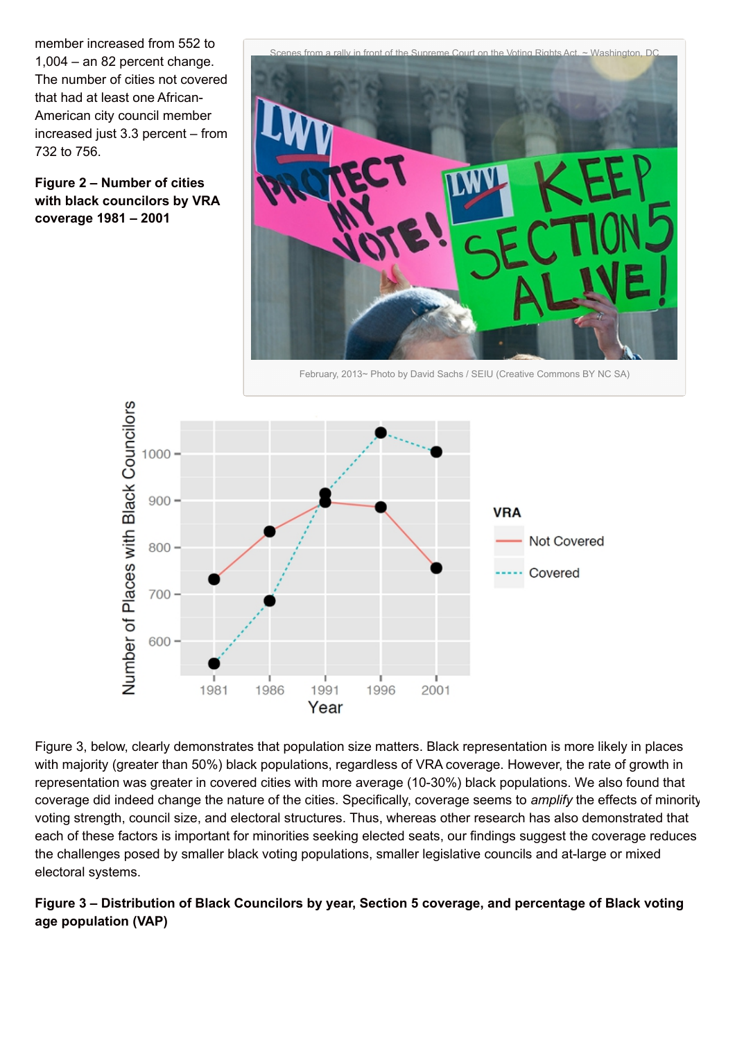member increased from 552 to 1,004 – an 82 percent change. The number of cities not covered that had at least one African-American city council member increased just 3.3 percent – from 732 to 756.

**Figure 2 – Number of cities with black councilors by VRA coverage 1981 – 2001**



February, 2013~ Photo by David Sachs / SEIU (Creative Commons BY NC SA)



Figure 3, below, clearly demonstrates that population size matters. Black representation is more likely in places with majority (greater than 50%) black populations, regardless of VRA coverage. However, the rate of growth in representation was greater in covered cities with more average (10-30%) black populations. We also found that coverage did indeed change the nature of the cities. Specifically, coverage seems to *amplify* the effects of minority voting strength, council size, and electoral structures. Thus, whereas other research has also demonstrated that each of these factors is important for minorities seeking elected seats, our findings suggest the coverage reduces the challenges posed by smaller black voting populations, smaller legislative councils and at-large or mixed electoral systems.

## **Figure 3 – Distribution of Black Councilors by year, Section 5 coverage, and percentage of Black voting age population (VAP)**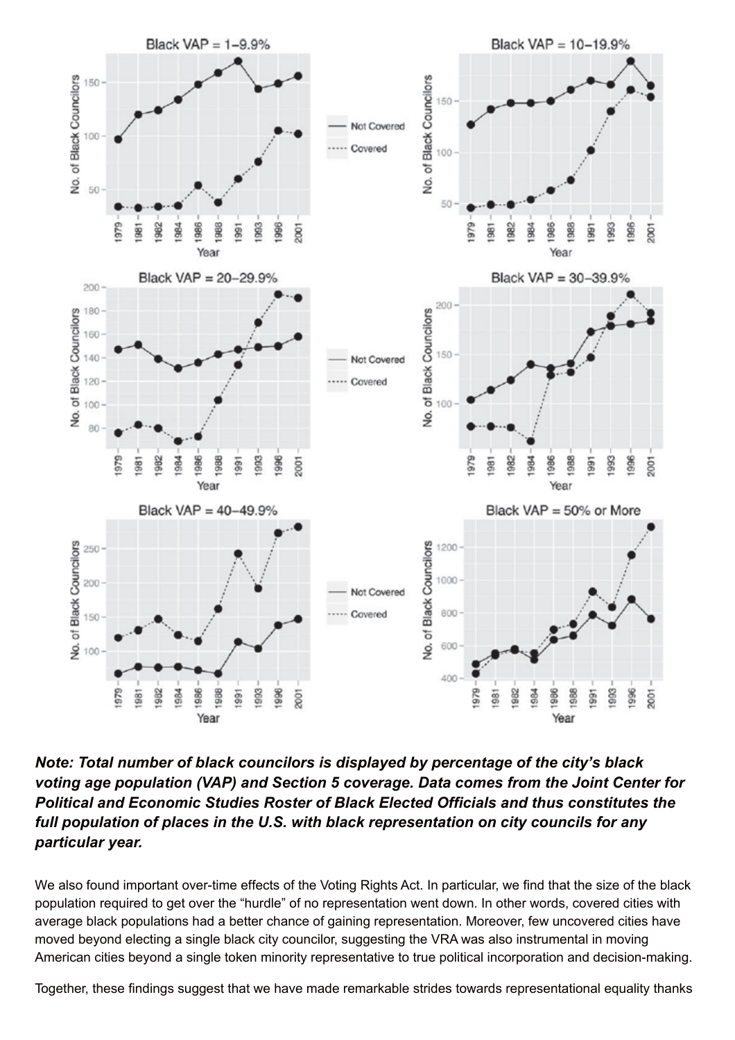

*Note: Total number of black councilors is displayed by percentage of the city's black voting age population (VAP) and Section 5 coverage. Data comes from the Joint Center for Political and Economic Studies Roster of Black Elected Officials and thus constitutes the full population of places in the U.S. with black representation on city councils for any particular year.*

We also found important over-time effects of the Voting Rights Act. In particular, we find that the size of the black population required to get over the "hurdle" of no representation went down. In other words, covered cities with average black populations had a better chance of gaining representation. Moreover, few uncovered cities have moved beyond electing a single black city councilor, suggesting the VRA was also instrumental in moving American cities beyond a single token minority representative to true political incorporation and decision-making.

Together, these findings suggest that we have made remarkable strides towards representational equality thanks